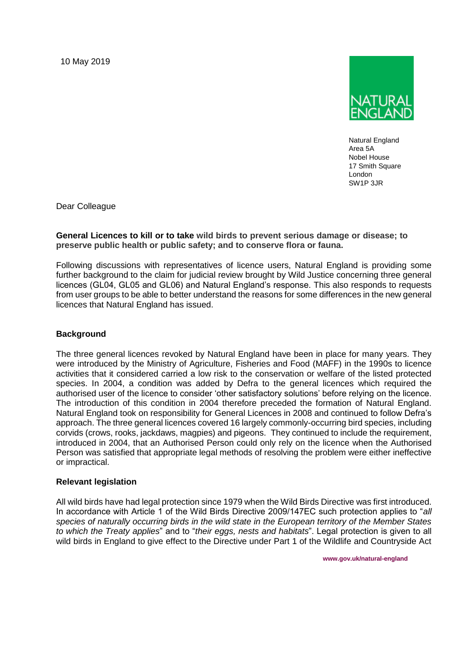10 May 2019



Natural England Area 5A Nobel House 17 Smith Square London SW1P 3JR

Dear Colleague

**General Licences to kill or to take wild birds to prevent serious damage or disease; to preserve public health or public safety; and to conserve flora or fauna.**

Following discussions with representatives of licence users, Natural England is providing some further background to the claim for judicial review brought by Wild Justice concerning three general licences (GL04, GL05 and GL06) and Natural England's response. This also responds to requests from user groups to be able to better understand the reasons for some differences in the new general licences that Natural England has issued.

# **Background**

The three general licences revoked by Natural England have been in place for many years. They were introduced by the Ministry of Agriculture, Fisheries and Food (MAFF) in the 1990s to licence activities that it considered carried a low risk to the conservation or welfare of the listed protected species. In 2004, a condition was added by Defra to the general licences which required the authorised user of the licence to consider 'other satisfactory solutions' before relying on the licence. The introduction of this condition in 2004 therefore preceded the formation of Natural England. Natural England took on responsibility for General Licences in 2008 and continued to follow Defra's approach. The three general licences covered 16 largely commonly-occurring bird species, including corvids (crows, rooks, jackdaws, magpies) and pigeons. They continued to include the requirement, introduced in 2004, that an Authorised Person could only rely on the licence when the Authorised Person was satisfied that appropriate legal methods of resolving the problem were either ineffective or impractical.

### **Relevant legislation**

All wild birds have had legal protection since 1979 when the Wild Birds Directive was first introduced. In accordance with Article 1 of the Wild Birds Directive 2009/147EC such protection applies to "*all species of naturally occurring birds in the wild state in the European territory of the Member States to which the Treaty applies*" and to "*their eggs, nests and habitats*". Legal protection is given to all wild birds in England to give effect to the Directive under Part 1 of the Wildlife and Countryside Act

 **www.gov.uk/natural-england**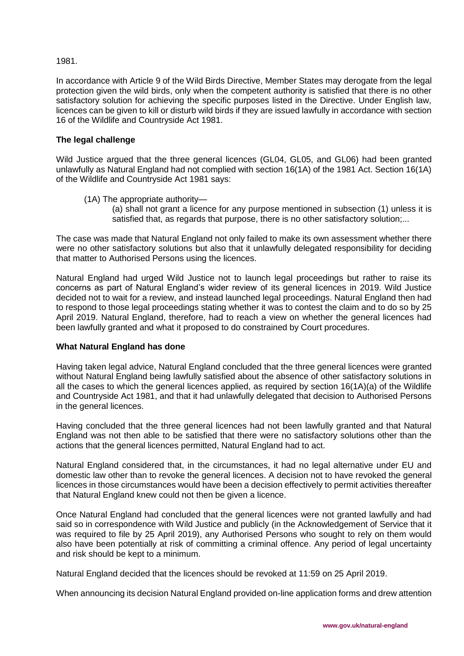## 1981.

In accordance with Article 9 of the Wild Birds Directive, Member States may derogate from the legal protection given the wild birds, only when the competent authority is satisfied that there is no other satisfactory solution for achieving the specific purposes listed in the Directive. Under English law, licences can be given to kill or disturb wild birds if they are issued lawfully in accordance with section 16 of the Wildlife and Countryside Act 1981.

## **The legal challenge**

Wild Justice argued that the three general licences (GL04, GL05, and GL06) had been granted unlawfully as Natural England had not complied with section 16(1A) of the 1981 Act. Section 16(1A) of the Wildlife and Countryside Act 1981 says:

(1A) The appropriate authority—

(a) shall not grant a licence for any purpose mentioned in subsection (1) unless it is satisfied that, as regards that purpose, there is no other satisfactory solution;...

The case was made that Natural England not only failed to make its own assessment whether there were no other satisfactory solutions but also that it unlawfully delegated responsibility for deciding that matter to Authorised Persons using the licences.

Natural England had urged Wild Justice not to launch legal proceedings but rather to raise its concerns as part of Natural England's wider review of its general licences in 2019. Wild Justice decided not to wait for a review, and instead launched legal proceedings. Natural England then had to respond to those legal proceedings stating whether it was to contest the claim and to do so by 25 April 2019. Natural England, therefore, had to reach a view on whether the general licences had been lawfully granted and what it proposed to do constrained by Court procedures.

### **What Natural England has done**

Having taken legal advice, Natural England concluded that the three general licences were granted without Natural England being lawfully satisfied about the absence of other satisfactory solutions in all the cases to which the general licences applied, as required by section 16(1A)(a) of the Wildlife and Countryside Act 1981, and that it had unlawfully delegated that decision to Authorised Persons in the general licences.

Having concluded that the three general licences had not been lawfully granted and that Natural England was not then able to be satisfied that there were no satisfactory solutions other than the actions that the general licences permitted, Natural England had to act.

Natural England considered that, in the circumstances, it had no legal alternative under EU and domestic law other than to revoke the general licences. A decision not to have revoked the general licences in those circumstances would have been a decision effectively to permit activities thereafter that Natural England knew could not then be given a licence.

Once Natural England had concluded that the general licences were not granted lawfully and had said so in correspondence with Wild Justice and publicly (in the Acknowledgement of Service that it was required to file by 25 April 2019), any Authorised Persons who sought to rely on them would also have been potentially at risk of committing a criminal offence. Any period of legal uncertainty and risk should be kept to a minimum.

Natural England decided that the licences should be revoked at 11:59 on 25 April 2019.

When announcing its decision Natural England provided on-line application forms and drew attention